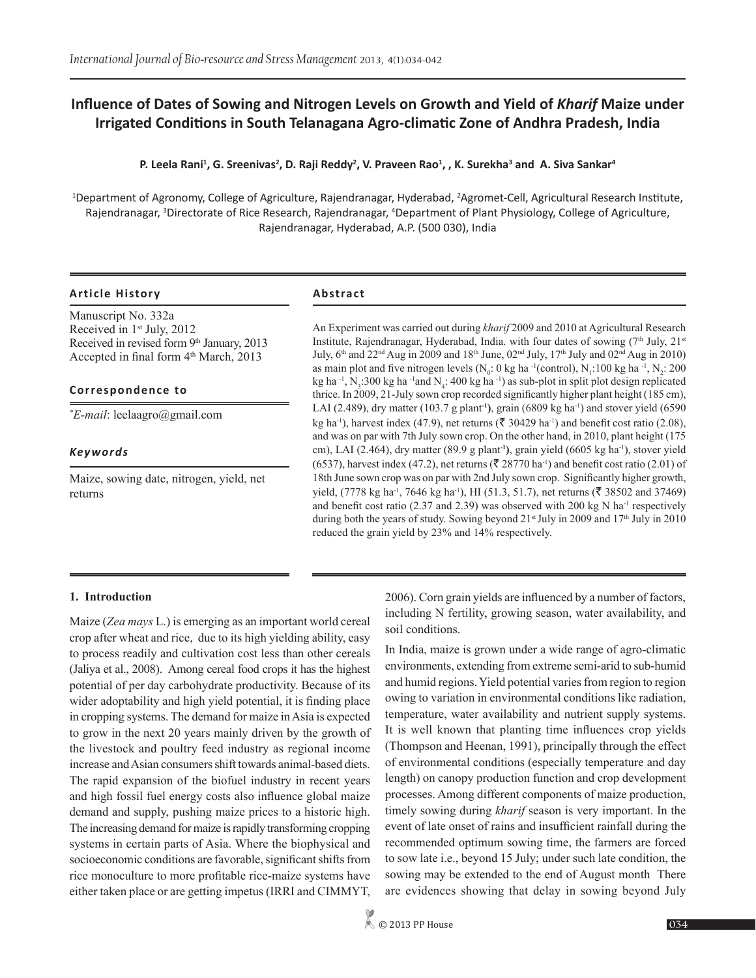# **Influence of Dates of Sowing and Nitrogen Levels on Growth and Yield of** *Kharif* **Maize under Irrigated Conditions in South Telanagana Agro-climatic Zone of Andhra Pradesh, India**

## **P. Leela Rani<sup>1</sup> , G. Sreenivas<sup>2</sup> , D. Raji Reddy<sup>2</sup> , V. Praveen Rao<sup>1</sup> , , K. Surekha<sup>3</sup> and A. Siva Sankar<sup>4</sup>**

<sup>1</sup>Department of Agronomy, College of Agriculture, Rajendranagar, Hyderabad, <sup>2</sup>Agromet-Cell, Agricultural Research Institute, Rajendranagar, <sup>3</sup>Directorate of Rice Research, Rajendranagar, <sup>4</sup>Department of Plant Physiology, College of Agriculture, Rajendranagar, Hyderabad, A.P. (500 030), India

## **Article History Abstract**

Manuscript No. 332a Received in 1<sup>st</sup> July, 2012 Received in revised form 9th January, 2013 Accepted in final form  $4<sup>th</sup> March$ , 2013

## **Correspondence to**

*\* E-mail*: leelaagro@gmail.com

## *Keywords*

Maize, sowing date, nitrogen, yield, net returns

An Experiment was carried out during *kharif* 2009 and 2010 at Agricultural Research Institute, Rajendranagar, Hyderabad, India. with four dates of sowing  $(7<sup>th</sup>$  July,  $21<sup>st</sup>$ July,  $6<sup>th</sup>$  and  $22<sup>nd</sup>$  Aug in 2009 and 18<sup>th</sup> June,  $02<sup>nd</sup>$  July,  $17<sup>th</sup>$  July and  $02<sup>nd</sup>$  Aug in 2010) as main plot and five nitrogen levels ( $N_0$ : 0 kg ha  $\cdot$ 1(control),  $N_1$ :100 kg ha  $\cdot$ 1,  $N_2$ : 200 kg ha  $^{-1}$ , N<sub>3</sub>:300 kg ha  $^{-1}$ and N<sub>4</sub>: 400 kg ha  $^{-1}$ ) as sub-plot in split plot design replicated thrice. In 2009, 21-July sown crop recorded significantly higher plant height (185 cm), LAI (2.489), dry matter (103.7 g plant**-1)**, grain (6809 kg ha-1) and stover yield (6590 kg ha<sup>-1</sup>), harvest index (47.9), net returns ( $\bar{\xi}$  30429 ha<sup>-1</sup>) and benefit cost ratio (2.08), and was on par with 7th July sown crop. On the other hand, in 2010, plant height (175 cm), LAI (2.464), dry matter (89.9 g plant-**<sup>1</sup> )**, grain yield (6605 kg ha-1), stover yield (6537), harvest index (47.2), net returns ( $\bar{\mathfrak{F}}$  28770 ha<sup>-1</sup>) and benefit cost ratio (2.01) of 18th June sown crop was on par with 2nd July sown crop. Significantly higher growth, yield, (7778 kg ha<sup>-1</sup>, 7646 kg ha<sup>-1</sup>), HI (51.3, 51.7), net returns ( $\bar{\xi}$  38502 and 37469) and benefit cost ratio (2.37 and 2.39) was observed with 200 kg N ha<sup>-1</sup> respectively during both the years of study. Sowing beyond  $21<sup>st</sup>$  July in 2009 and  $17<sup>th</sup>$  July in 2010 reduced the grain yield by 23% and 14% respectively.

## **1. Introduction**

Maize (*Zea mays* L.) is emerging as an important world cereal crop after wheat and rice, due to its high yielding ability, easy to process readily and cultivation cost less than other cereals (Jaliya et al., 2008). Among cereal food crops it has the highest potential of per day carbohydrate productivity. Because of its wider adoptability and high yield potential, it is finding place in cropping systems. The demand for maize in Asia is expected to grow in the next 20 years mainly driven by the growth of the livestock and poultry feed industry as regional income increase and Asian consumers shift towards animal-based diets. The rapid expansion of the biofuel industry in recent years and high fossil fuel energy costs also influence global maize demand and supply, pushing maize prices to a historic high. The increasing demand for maize is rapidly transforming cropping systems in certain parts of Asia. Where the biophysical and socioeconomic conditions are favorable, significant shifts from rice monoculture to more profitable rice-maize systems have either taken place or are getting impetus (IRRI and CIMMYT,

2006). Corn grain yields are influenced by a number of factors, including N fertility, growing season, water availability, and soil conditions.

In India, maize is grown under a wide range of agro-climatic environments, extending from extreme semi-arid to sub-humid and humid regions. Yield potential varies from region to region owing to variation in environmental conditions like radiation, temperature, water availability and nutrient supply systems. It is well known that planting time influences crop yields (Thompson and Heenan, 1991), principally through the effect of environmental conditions (especially temperature and day length) on canopy production function and crop development processes. Among different components of maize production, timely sowing during *kharif* season is very important. In the event of late onset of rains and insufficient rainfall during the recommended optimum sowing time, the farmers are forced to sow late i.e., beyond 15 July; under such late condition, the sowing may be extended to the end of August month There are evidences showing that delay in sowing beyond July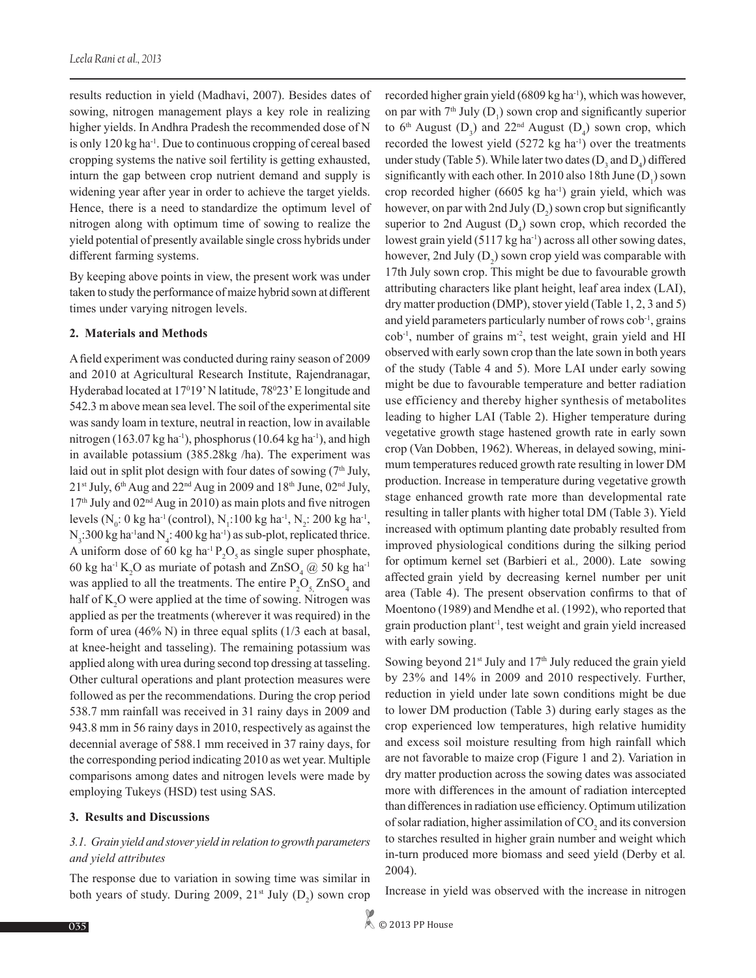results reduction in yield (Madhavi, 2007). Besides dates of sowing, nitrogen management plays a key role in realizing higher yields. In Andhra Pradesh the recommended dose of N is only 120 kg ha-1. Due to continuous cropping of cereal based cropping systems the native soil fertility is getting exhausted, inturn the gap between crop nutrient demand and supply is widening year after year in order to achieve the target yields. Hence, there is a need to standardize the optimum level of nitrogen along with optimum time of sowing to realize the yield potential of presently available single cross hybrids under different farming systems.

By keeping above points in view, the present work was under taken to study the performance of maize hybrid sown at different times under varying nitrogen levels.

#### **2. Materials and Methods**

A field experiment was conducted during rainy season of 2009 and 2010 at Agricultural Research Institute, Rajendranagar, Hyderabad located at 17<sup>0</sup>19' N latitude, 78<sup>0</sup>23' E longitude and 542.3 m above mean sea level. The soil of the experimental site was sandy loam in texture, neutral in reaction, low in available nitrogen (163.07 kg ha<sup>-1</sup>), phosphorus (10.64 kg ha<sup>-1</sup>), and high in available potassium (385.28kg /ha). The experiment was laid out in split plot design with four dates of sowing  $(7<sup>th</sup> July,$  $21<sup>st</sup>$  July, 6<sup>th</sup> Aug and  $22<sup>nd</sup>$  Aug in 2009 and  $18<sup>th</sup>$  June, 02<sup>nd</sup> July,  $17<sup>th</sup>$  July and  $02<sup>nd</sup>$  Aug in 2010) as main plots and five nitrogen levels (N<sub>0</sub>: 0 kg ha<sup>-1</sup> (control), N<sub>1</sub>:100 kg ha<sup>-1</sup>, N<sub>2</sub>: 200 kg ha<sup>-1</sup>,  $N_3$ :300 kg ha<sup>-1</sup>and  $N_4$ : 400 kg ha<sup>-1</sup>) as sub-plot, replicated thrice. A uniform dose of 60 kg ha<sup>-1</sup>  $P_2O_5$  as single super phosphate, 60 kg ha<sup>-1</sup> K<sub>2</sub>O as muriate of potash and  $ZnSO_4 \text{ } @$  50 kg ha<sup>-1</sup> was applied to all the treatments. The entire  $P_2O_{5}ZnSO_4$  and half of  $K_2O$  were applied at the time of sowing. Nitrogen was applied as per the treatments (wherever it was required) in the form of urea (46% N) in three equal splits ( $1/3$  each at basal, at knee-height and tasseling). The remaining potassium was applied along with urea during second top dressing at tasseling. Other cultural operations and plant protection measures were followed as per the recommendations. During the crop period 538.7 mm rainfall was received in 31 rainy days in 2009 and 943.8 mm in 56 rainy days in 2010, respectively as against the decennial average of 588.1 mm received in 37 rainy days, for the corresponding period indicating 2010 as wet year. Multiple comparisons among dates and nitrogen levels were made by employing Tukeys (HSD) test using SAS.

#### **3. Results and Discussions**

## *3.1. Grain yield and stover yield in relation to growth parameters and yield attributes*

The response due to variation in sowing time was similar in both years of study. During 2009,  $21^{st}$  July  $(D_2)$  sown crop recorded higher grain yield (6809 kg ha<sup>-1</sup>), which was however, on par with  $7<sup>th</sup>$  July (D<sub>1</sub>) sown crop and significantly superior to  $6<sup>th</sup>$  August  $(D_3)$  and  $22<sup>nd</sup>$  August  $(D_4)$  sown crop, which recorded the lowest yield  $(5272 \text{ kg ha}^{-1})$  over the treatments under study (Table 5). While later two dates  $(D_3 \text{ and } D_4)$  differed significantly with each other. In 2010 also 18th June  $(D_1)$  sown crop recorded higher  $(6605 \text{ kg} \text{ ha}^{-1})$  grain yield, which was however, on par with 2nd July  $(D_2)$  sown crop but significantly superior to 2nd August  $(D_4)$  sown crop, which recorded the lowest grain yield (5117 kg ha<sup>-1</sup>) across all other sowing dates, however, 2nd July  $(D_2)$  sown crop yield was comparable with 17th July sown crop. This might be due to favourable growth attributing characters like plant height, leaf area index (LAI), dry matter production (DMP), stover yield (Table 1, 2, 3 and 5) and yield parameters particularly number of rows cob-1, grains cob-1, number of grains m-2, test weight, grain yield and HI observed with early sown crop than the late sown in both years of the study (Table 4 and 5). More LAI under early sowing might be due to favourable temperature and better radiation use efficiency and thereby higher synthesis of metabolites leading to higher LAI (Table 2). Higher temperature during vegetative growth stage hastened growth rate in early sown crop (Van Dobben, 1962). Whereas, in delayed sowing, minimum temperatures reduced growth rate resulting in lower DM production. Increase in temperature during vegetative growth stage enhanced growth rate more than developmental rate resulting in taller plants with higher total DM (Table 3). Yield increased with optimum planting date probably resulted from improved physiological conditions during the silking period for optimum kernel set (Barbieri et al*.,* 2000). Late sowing affected grain yield by decreasing kernel number per unit area (Table 4). The present observation confirms to that of Moentono (1989) and Mendhe et al. (1992), who reported that grain production plant-1, test weight and grain yield increased with early sowing.

Sowing beyond  $21<sup>st</sup>$  July and  $17<sup>th</sup>$  July reduced the grain yield by 23% and 14% in 2009 and 2010 respectively. Further, reduction in yield under late sown conditions might be due to lower DM production (Table 3) during early stages as the crop experienced low temperatures, high relative humidity and excess soil moisture resulting from high rainfall which are not favorable to maize crop (Figure 1 and 2). Variation in dry matter production across the sowing dates was associated more with differences in the amount of radiation intercepted than differences in radiation use efficiency. Optimum utilization of solar radiation, higher assimilation of  $CO<sub>2</sub>$  and its conversion to starches resulted in higher grain number and weight which in-turn produced more biomass and seed yield (Derby et al*.* 2004).

Increase in yield was observed with the increase in nitrogen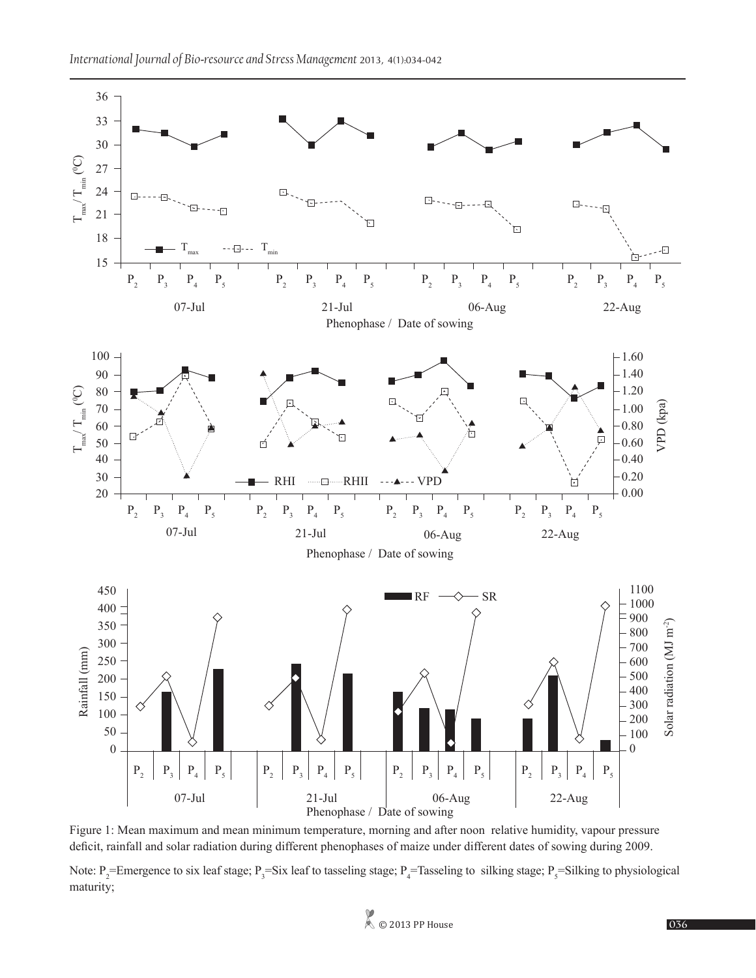

Figure 1: Mean maximum and mean minimum temperature, morning and after noon relative humidity, vapour pressure deficit, rainfall and solar radiation during different phenophases of maize under different dates of sowing during 2009.

Note:  $P_2$ =Emergence to six leaf stage;  $P_3$ =Six leaf to tasseling stage;  $P_4$ =Tasseling to silking stage;  $P_5$ =Silking to physiological maturity;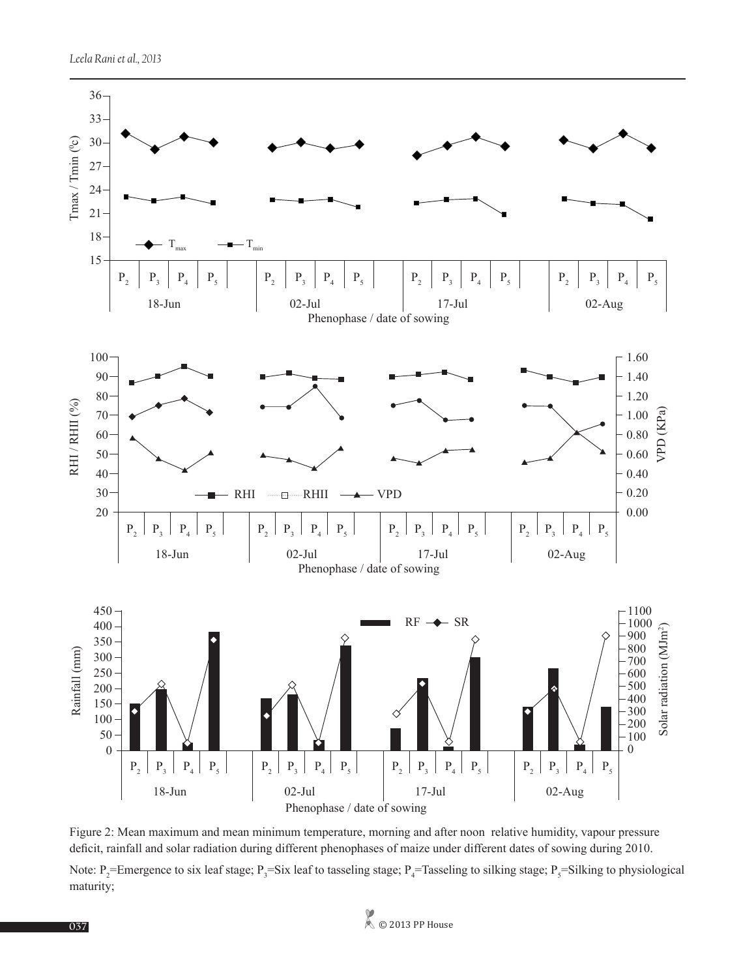

Figure 2: Mean maximum and mean minimum temperature, morning and after noon relative humidity, vapour pressure deficit, rainfall and solar radiation during different phenophases of maize under different dates of sowing during 2010.

Note:  $P_2$ =Emergence to six leaf stage;  $P_3$ =Six leaf to tasseling stage;  $P_4$ =Tasseling to silking stage;  $P_5$ =Silking to physiological maturity;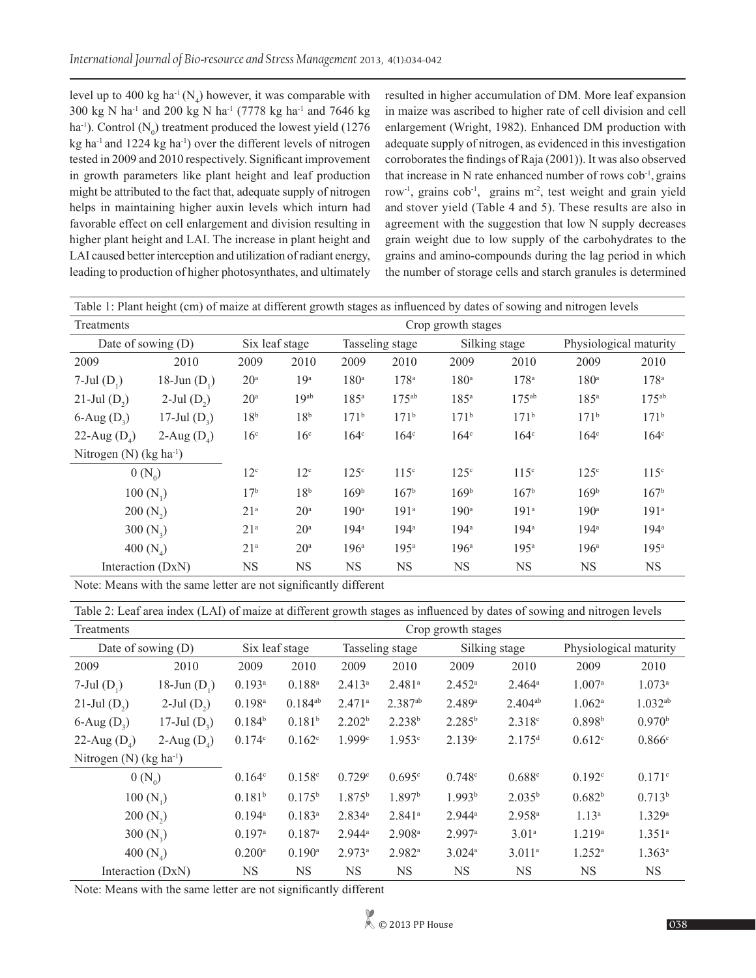level up to 400 kg ha<sup>-1</sup>( $N_4$ ) however, it was comparable with 300 kg N ha<sup>-1</sup> and 200 kg N ha<sup>-1</sup> (7778 kg ha<sup>-1</sup> and 7646 kg ha<sup>-1</sup>). Control  $(N_0)$  treatment produced the lowest yield (1276) kg ha-1 and 1224 kg ha-1) over the different levels of nitrogen tested in 2009 and 2010 respectively. Significant improvement in growth parameters like plant height and leaf production might be attributed to the fact that, adequate supply of nitrogen helps in maintaining higher auxin levels which inturn had favorable effect on cell enlargement and division resulting in higher plant height and LAI. The increase in plant height and LAI caused better interception and utilization of radiant energy, leading to production of higher photosynthates, and ultimately

resulted in higher accumulation of DM. More leaf expansion in maize was ascribed to higher rate of cell division and cell enlargement (Wright, 1982). Enhanced DM production with adequate supply of nitrogen, as evidenced in this investigation corroborates the findings of Raja (2001)). It was also observed that increase in  $N$  rate enhanced number of rows  $\cosh^{-1}$ , grains row<sup>-1</sup>, grains cob<sup>-1</sup>, grains m<sup>-2</sup>, test weight and grain yield and stover yield (Table 4 and 5). These results are also in agreement with the suggestion that low N supply decreases grain weight due to low supply of the carbohydrates to the grains and amino-compounds during the lag period in which the number of storage cells and starch granules is determined

| Table 1: Plant height (cm) of maize at different growth stages as influenced by dates of sowing and nitrogen levels |                  |                    |                  |                  |                  |                  |                  |                  |                        |  |  |
|---------------------------------------------------------------------------------------------------------------------|------------------|--------------------|------------------|------------------|------------------|------------------|------------------|------------------|------------------------|--|--|
| Treatments                                                                                                          |                  | Crop growth stages |                  |                  |                  |                  |                  |                  |                        |  |  |
| Date of sowing $(D)$                                                                                                |                  | Six leaf stage     |                  |                  | Tasseling stage  |                  | Silking stage    |                  | Physiological maturity |  |  |
| 2009                                                                                                                | 2010             | 2009               | 2010             | 2009             | 2010             | 2009             | 2010             | 2009             | 2010                   |  |  |
| $7$ -Jul $(D_1)$                                                                                                    | 18-Jun $(D_1)$   | 20 <sup>a</sup>    | 19 <sup>a</sup>  | 180 <sup>a</sup> | 178 <sup>a</sup> | 180 <sup>a</sup> | 178 <sup>a</sup> | 180 <sup>a</sup> | 178 <sup>a</sup>       |  |  |
| 21-Jul $(D_2)$                                                                                                      | $2$ -Jul $(D_2)$ | 20 <sup>a</sup>    | 19 <sup>ab</sup> | 185 <sup>a</sup> | $175^{ab}$       | 185 <sup>a</sup> | $175^{ab}$       | 185 <sup>a</sup> | $175^{ab}$             |  |  |
| $6$ -Aug $(D_3)$                                                                                                    | 17-Jul $(D_2)$   | 18 <sup>b</sup>    | 18 <sup>b</sup>  | $171^{b}$        | $171^{\rm b}$    | $171^{\rm b}$    | $171^{b}$        | 171 <sup>b</sup> | 171 <sup>b</sup>       |  |  |
| 22-Aug $(D_4)$                                                                                                      | 2-Aug $(D_4)$    | 16 <sup>c</sup>    | 16 <sup>c</sup>  | 164 <sup>c</sup> | 164 <sup>c</sup> | 164 <sup>c</sup> | 164 <sup>c</sup> | 164 <sup>c</sup> | 164 <sup>c</sup>       |  |  |
| Nitrogen (N) ( $kg \text{ ha}^{-1}$ )                                                                               |                  |                    |                  |                  |                  |                  |                  |                  |                        |  |  |
| $0(N_0)$                                                                                                            |                  | 12 <sup>c</sup>    | 12 <sup>c</sup>  | 125 <sup>c</sup> | 115 <sup>c</sup> | $125^{\circ}$    | 115 <sup>c</sup> | 125 <sup>c</sup> | 115 <sup>c</sup>       |  |  |
| $100(N_1)$                                                                                                          |                  | 17 <sup>b</sup>    | 18 <sup>b</sup>  | 169 <sup>b</sup> | 167 <sup>b</sup> | 169 <sup>b</sup> | 167 <sup>b</sup> | 169 <sup>b</sup> | 167 <sup>b</sup>       |  |  |
| $200(N_2)$                                                                                                          |                  | 21 <sup>a</sup>    | 20 <sup>a</sup>  | 190 <sup>a</sup> | 191 <sup>a</sup> | 190 <sup>a</sup> | 191 <sup>a</sup> | 190 <sup>a</sup> | 191 <sup>a</sup>       |  |  |
| 300 $(N_2)$                                                                                                         |                  | 21 <sup>a</sup>    | 20 <sup>a</sup>  | 194 <sup>a</sup> | 194 <sup>a</sup> | $194^a$          | 194 <sup>a</sup> | 194 <sup>a</sup> | 194 <sup>a</sup>       |  |  |
| 400 $(N_{4})$                                                                                                       |                  | 21 <sup>a</sup>    | 20 <sup>a</sup>  | 196 <sup>a</sup> | 195 <sup>a</sup> | 196 <sup>a</sup> | 195 <sup>a</sup> | 196 <sup>a</sup> | 195 <sup>a</sup>       |  |  |
| Interaction (DxN)                                                                                                   |                  | NS                 | NS               | <b>NS</b>        | <b>NS</b>        | NS.              | <b>NS</b>        | <b>NS</b>        | <b>NS</b>              |  |  |

Note: Means with the same letter are not significantly different

Table 2: Leaf area index (LAI) of maize at different growth stages as influenced by dates of sowing and nitrogen levels

| Treatments                  | Crop growth stages |                      |                      |                      |                      |                    |                      |                        |                    |
|-----------------------------|--------------------|----------------------|----------------------|----------------------|----------------------|--------------------|----------------------|------------------------|--------------------|
| Date of sowing $(D)$        |                    | Six leaf stage       |                      | Tasseling stage      |                      | Silking stage      |                      | Physiological maturity |                    |
| 2009                        | 2010               | 2009                 | 2010                 | 2009                 | 2010                 | 2009               | 2010                 | 2009                   | 2010               |
| $7$ -Jul $(D_1)$            | 18-Jun $(D_1)$     | $0.193$ <sup>a</sup> | $0.188^{a}$          | $2.413^a$            | 2.481 <sup>a</sup>   | 2.452 <sup>a</sup> | $2.464^a$            | 1.007a                 | 1.073a             |
| 21-Jul $(D_2)$              | $2$ -Jul $(D_2)$   | $0.198^{a}$          | $0.184^{ab}$         | $2.471$ <sup>a</sup> | $2.387^{ab}$         | 2.489a             | $2.404^{ab}$         | 1.062a                 | $1.032^{ab}$       |
| $6$ -Aug $(D_3)$            | 17-Jul $(D_3)$     | $0.184^{b}$          | 0.181 <sup>b</sup>   | 2.202 <sup>b</sup>   | 2.238 <sup>b</sup>   | $2.285^{b}$        | 2.318c               | 0.898 <sup>b</sup>     | 0.970 <sup>b</sup> |
| 22-Aug $(D_4)$              | 2-Aug $(D_4)$      | 0.174c               | 0.162c               | 1.999c               | 1.953c               | 2.139c             | 2.175 <sup>d</sup>   | 0.612c                 | 0.866c             |
| Nitrogen (N) $(kg ha^{-1})$ |                    |                      |                      |                      |                      |                    |                      |                        |                    |
| $0 (N_0)$                   |                    | 0.164c               | 0.158c               | 0.729c               | 0.695c               | 0.748c             | 0.688c               | 0.192c                 | 0.171c             |
| $100(N_1)$                  |                    | 0.181 <sup>b</sup>   | $0.175^{\rm b}$      | $1.875^{\rm b}$      | 1.897 <sup>b</sup>   | 1.993 <sup>b</sup> | $2.035^{b}$          | 0.682 <sup>b</sup>     | 0.713 <sup>b</sup> |
| $200(N_2)$                  |                    | $0.194$ <sup>a</sup> | $0.183^{a}$          | 2.834a               | $2.841$ <sup>a</sup> | $2.944^a$          | $2.958$ <sup>a</sup> | $1.13^{a}$             | 1.329a             |
| 300 $(N_2)$                 |                    | 0.197a               | 0.187a               | $2.944^a$            | 2.908a               | 2.997a             | 3.01a                | 1.219 <sup>a</sup>     | 1.351a             |
| 400 $(N_4)$                 |                    | $0.200$ <sup>a</sup> | $0.190$ <sup>a</sup> | 2.973a               | $2.982$ <sup>a</sup> | 3.024a             | 3.011 <sup>a</sup>   | $1.252^a$              | $1.363^a$          |
| Interaction (DxN)           |                    | <b>NS</b>            | <b>NS</b>            | <b>NS</b>            | <b>NS</b>            | NS.                | <b>NS</b>            | <b>NS</b>              | <b>NS</b>          |

Note: Means with the same letter are not significantly different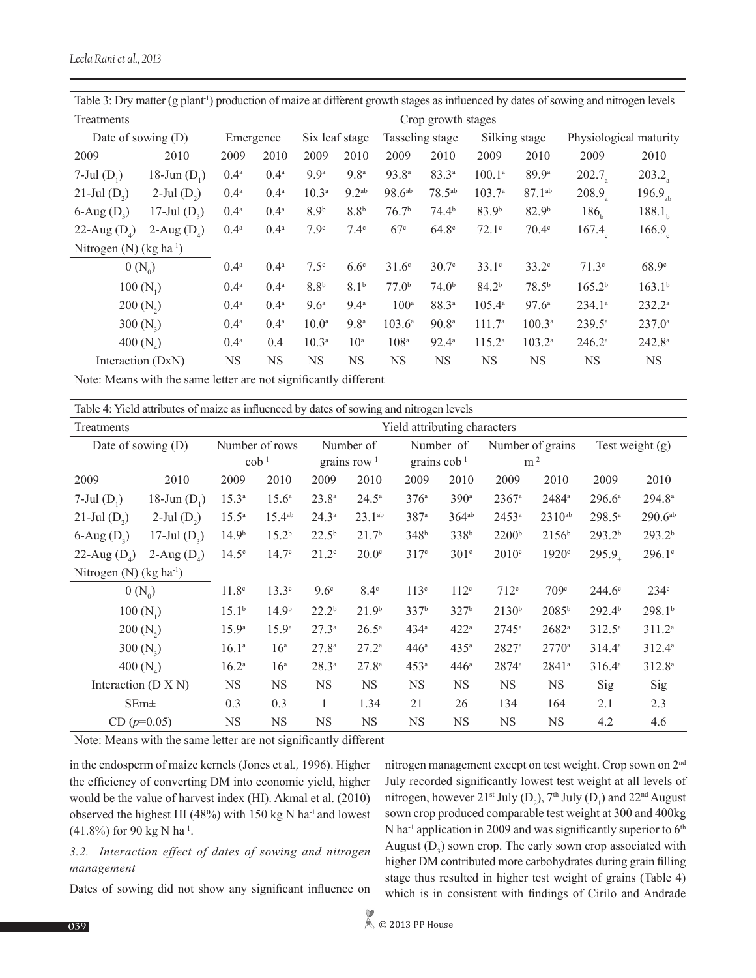| Table 3: Dry matter (g plant <sup>1</sup> ) production of maize at different growth stages as influenced by dates of sowing and nitrogen levels |                  |                  |                    |                   |                   |                   |                   |                    |                   |                        |                     |
|-------------------------------------------------------------------------------------------------------------------------------------------------|------------------|------------------|--------------------|-------------------|-------------------|-------------------|-------------------|--------------------|-------------------|------------------------|---------------------|
| Treatments                                                                                                                                      |                  |                  | Crop growth stages |                   |                   |                   |                   |                    |                   |                        |                     |
| Date of sowing $(D)$                                                                                                                            |                  | Emergence        |                    |                   | Six leaf stage    |                   | Tasseling stage   |                    | Silking stage     | Physiological maturity |                     |
| 2009                                                                                                                                            | 2010             | 2009             | 2010               | 2009              | 2010              | 2009              | 2010              | 2009               | 2010              | 2009                   | 2010                |
| $7$ -Jul $(D_1)$                                                                                                                                | 18-Jun $(D_1)$   | 0.4 <sup>a</sup> | $0.4^{\rm a}$      | 9.9 <sup>a</sup>  | 9.8 <sup>a</sup>  | 93.8 <sup>a</sup> | $83.3^{a}$        | $100.1^{\circ}$    | 89.9 <sup>a</sup> | 202.7                  | 203.2               |
| 21-Jul $(D_2)$                                                                                                                                  | $2$ -Jul $(D_2)$ | 0.4 <sup>a</sup> | 0.4 <sup>a</sup>   | 10.3 <sup>a</sup> | 9.2 <sup>ab</sup> | $98.6^{ab}$       | $78.5^{ab}$       | $103.7^{\circ}$    | $87.1^{ab}$       | $208.9_a$              | 196.9 <sub>ab</sub> |
| $6$ -Aug $(D_3)$                                                                                                                                | 17-Jul $(D_3)$   | 0.4 <sup>a</sup> | 0.4 <sup>a</sup>   | 8.9 <sup>b</sup>  | 8.8 <sup>b</sup>  | 76.7 <sup>b</sup> | 74.4 <sup>b</sup> | 83.9 <sup>b</sup>  | 82.9 <sup>b</sup> | 186 <sub>b</sub>       | 188.1 <sub>b</sub>  |
| 22-Aug $(D_4)$                                                                                                                                  | 2-Aug $(D_4)$    | 0.4 <sup>a</sup> | 0.4 <sup>a</sup>   | 7.9 <sup>c</sup>  | $7.4^\circ$       | 67c               | 64.8 <sup>c</sup> | $72.1^\circ$       | 70.4 <sup>c</sup> | $167.4_c$              | 166.9 <sub>c</sub>  |
| Nitrogen (N) $(kg ha^{-1})$                                                                                                                     |                  |                  |                    |                   |                   |                   |                   |                    |                   |                        |                     |
| $0 (N_0)$                                                                                                                                       |                  | 0.4 <sup>a</sup> | 0.4 <sup>a</sup>   | 7.5 <sup>c</sup>  | 6.6 <sup>c</sup>  | $31.6^\circ$      | 30.7 <sup>c</sup> | $33.1^{\circ}$     | $33.2^{\circ}$    | $71.3^{\circ}$         | $68.9^\circ$        |
| $100(N_1)$                                                                                                                                      |                  | 0.4 <sup>a</sup> | $0.4^{\rm a}$      | 8.8 <sup>b</sup>  | 8.1 <sup>b</sup>  | 77.0 <sup>b</sup> | 74.0 <sup>b</sup> | 84.2 <sup>b</sup>  | $78.5^{b}$        | $165.2^{b}$            | $163.1^{b}$         |
| $200(N_2)$                                                                                                                                      |                  | 0.4 <sup>a</sup> | $0.4^{\rm a}$      | 9.6 <sup>a</sup>  | 9.4 <sup>a</sup>  | 100 <sup>a</sup>  | 88.3ª             | $105.4^{\circ}$    | 97.6 <sup>a</sup> | $234.1^a$              | $232.2^{a}$         |
| 300 $(N_2)$                                                                                                                                     |                  | 0.4 <sup>a</sup> | 0.4 <sup>a</sup>   | 10.0 <sup>a</sup> | 9.8 <sup>a</sup>  | $103.6^a$         | 90.8 <sup>a</sup> | 111.7 <sup>a</sup> | $100.3^a$         | $239.5^a$              | 237.0a              |
| 400 $(N_4)$                                                                                                                                     |                  | 0.4 <sup>a</sup> | 0.4                | $10.3^{a}$        | 10 <sup>a</sup>   | 108 <sup>a</sup>  | $92.4^{\circ}$    | $115.2^a$          | $103.2^a$         | $246.2^{\circ}$        | $242.8^{\circ}$     |
| Interaction (DxN)                                                                                                                               |                  | <b>NS</b>        | <b>NS</b>          | <b>NS</b>         | <b>NS</b>         | <b>NS</b>         | NS                | <b>NS</b>          | <b>NS</b>         | <b>NS</b>              | <b>NS</b>           |

Note: Means with the same letter are not significantly different

| Table 4: Yield attributes of maize as influenced by dates of sowing and nitrogen levels |  |  |  |
|-----------------------------------------------------------------------------------------|--|--|--|
|                                                                                         |  |  |  |

| Treatments                  |                  | Yield attributing characters |                   |                   |                   |                     |                  |                   |                   |                    |                    |
|-----------------------------|------------------|------------------------------|-------------------|-------------------|-------------------|---------------------|------------------|-------------------|-------------------|--------------------|--------------------|
| Date of sowing $(D)$        |                  |                              | Number of rows    |                   | Number of         |                     | Number of        |                   | Number of grains  |                    | Test weight $(g)$  |
|                             |                  | $cob-1$                      |                   |                   | grains $row^{-1}$ | grains $\cosh^{-1}$ |                  |                   | $m^{-2}$          |                    |                    |
| 2009                        | 2010             | 2009                         | 2010              | 2009              | 2010              | 2009                | 2010             | 2009              | 2010              | 2009               | 2010               |
| $7$ -Jul $(D_1)$            | 18-Jun $(D_1)$   | $15.3^{a}$                   | $15.6^{\circ}$    | $23.8^{a}$        | $24.5^{\circ}$    | 376a                | 390 <sup>a</sup> | 2367 <sup>a</sup> | 2484 <sup>a</sup> | $296.6^a$          | $294.8^a$          |
| 21-Jul $(D_2)$              | $2$ -Jul $(D_2)$ | $15.5^{\circ}$               | $15.4^{ab}$       | $24.3^{\circ}$    | $23.1^{ab}$       | 387a                | $364^{ab}$       | $2453^a$          | $2310^{ab}$       | $298.5^a$          | $290.6^{ab}$       |
| $6$ -Aug $(D_3)$            | 17-Jul $(D_2)$   | 14.9 <sup>b</sup>            | 15.2 <sup>b</sup> | $22.5^{b}$        | 21.7 <sup>b</sup> | 348 <sup>b</sup>    | 338 <sup>b</sup> | 2200 <sup>b</sup> | 2156 <sup>b</sup> | 293.2 <sup>b</sup> | 293.2 <sup>b</sup> |
| 22-Aug $(D_4)$              | 2-Aug $(D_4)$    | 14.5 <sup>c</sup>            | 14.7 <sup>c</sup> | $21.2^{\circ}$    | 20.0 <sup>c</sup> | 317c                | 301 <sup>c</sup> | $2010^{\circ}$    | 1920°             | $295.9_+$          | 296.1c             |
| Nitrogen (N) $(kg ha^{-1})$ |                  |                              |                   |                   |                   |                     |                  |                   |                   |                    |                    |
| $0 (N_0)$                   |                  | 11.8 <sup>c</sup>            | 13.3 <sup>c</sup> | $9.6^\circ$       | $8.4^\circ$       | 113 <sup>c</sup>    | 112 <sup>c</sup> | 712 <sup>c</sup>  | 709 <sup>c</sup>  | $244.6^{\circ}$    | 234 <sup>c</sup>   |
| $100(N_1)$                  |                  | 15.1 <sup>b</sup>            | 14.9 <sup>b</sup> | $22.2^{b}$        | 21.9 <sup>b</sup> | 337 <sup>b</sup>    | 327 <sup>b</sup> | 2130 <sup>b</sup> | $2085^{\rm b}$    | $292.4^{b}$        | 298.1 <sup>b</sup> |
| $200(N_2)$                  |                  | 15.9 <sup>a</sup>            | 15.9 <sup>a</sup> | $27.3^{\circ}$    | $26.5^{\circ}$    | 434 <sup>a</sup>    | 422 <sup>a</sup> | $2745^{\circ}$    | $2682^{\rm a}$    | $312.5^{\circ}$    | 311.2 <sup>a</sup> |
| 300 $(N_2)$                 |                  | $16.1^{\circ}$               | 16 <sup>a</sup>   | 27.8 <sup>a</sup> | $27.2^{\circ}$    | 446 <sup>a</sup>    | 435 <sup>a</sup> | $2827^a$          | $2770^{\circ}$    | $314.4^a$          | $312.4^a$          |
| 400 $(N_4)$                 |                  | $16.2^{a}$                   | 16 <sup>a</sup>   | $28.3^{a}$        | $27.8^{a}$        | 453 <sup>a</sup>    | 446 <sup>a</sup> | 2874 <sup>a</sup> | $2841^a$          | $316.4^a$          | 312.8 <sup>a</sup> |
| Interaction $(D X N)$       |                  | <b>NS</b>                    | <b>NS</b>         | <b>NS</b>         | <b>NS</b>         | <b>NS</b>           | <b>NS</b>        | <b>NS</b>         | <b>NS</b>         | Sig                | Sig                |
| SEm <sup>±</sup>            |                  | 0.3                          | 0.3               | $\mathbf{1}$      | 1.34              | 21                  | 26               | 134               | 164               | 2.1                | 2.3                |
| $CD (p=0.05)$               |                  | <b>NS</b>                    | <b>NS</b>         | <b>NS</b>         | <b>NS</b>         | NS                  | <b>NS</b>        | <b>NS</b>         | <b>NS</b>         | 4.2                | 4.6                |

Note: Means with the same letter are not significantly different

in the endosperm of maize kernels (Jones et al*.,* 1996). Higher the efficiency of converting DM into economic yield, higher would be the value of harvest index (HI). Akmal et al. (2010) observed the highest HI (48%) with 150 kg N ha-1 and lowest (41.8%) for 90 kg N ha-1.

## *3.2. Interaction effect of dates of sowing and nitrogen management*

Dates of sowing did not show any significant influence on

nitrogen management except on test weight. Crop sown on 2nd July recorded significantly lowest test weight at all levels of nitrogen, however 21<sup>st</sup> July (D<sub>2</sub>), 7<sup>th</sup> July (D<sub>1</sub>) and 22<sup>nd</sup> August sown crop produced comparable test weight at 300 and 400kg N ha<sup>-1</sup> application in 2009 and was significantly superior to  $6<sup>th</sup>$ August  $(D_3)$  sown crop. The early sown crop associated with higher DM contributed more carbohydrates during grain filling stage thus resulted in higher test weight of grains (Table 4) which is in consistent with findings of Cirilo and Andrade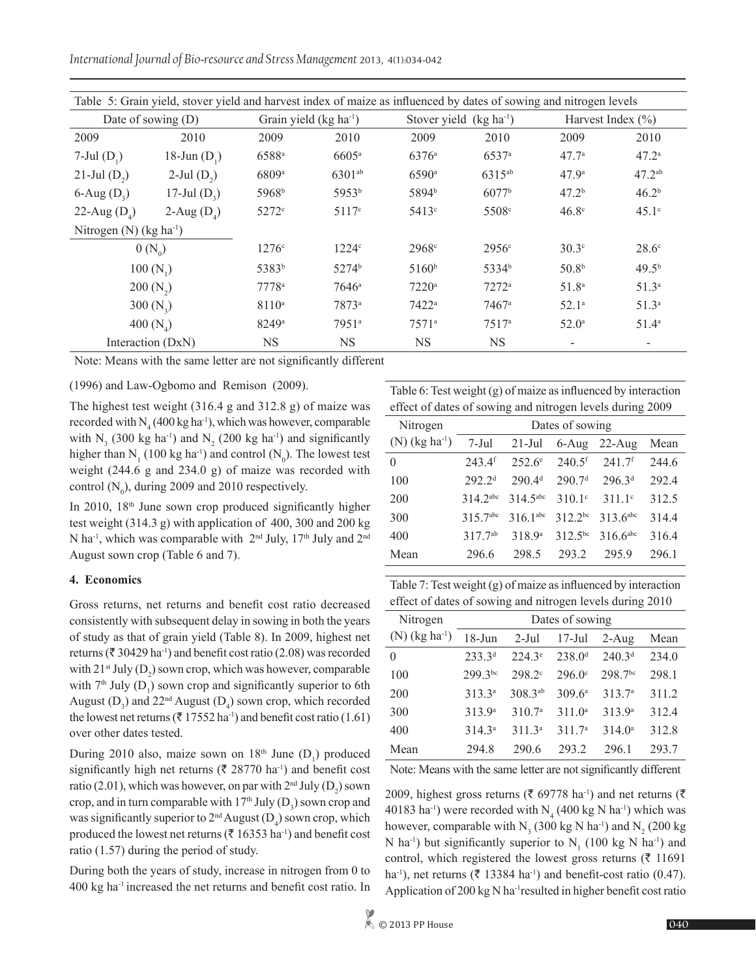*International Journal of Bio-resource and Stress Management* 2013, 4(1):034-042

| Table 5: Grain yield, stover yield and harvest index of maize as influenced by dates of sowing and nitrogen levels |                   |                     |                         |                   |                          |                       |                          |  |  |
|--------------------------------------------------------------------------------------------------------------------|-------------------|---------------------|-------------------------|-------------------|--------------------------|-----------------------|--------------------------|--|--|
| Date of sowing $(D)$                                                                                               |                   |                     | Grain yield $(kg ha-1)$ |                   | Stover yield $(kg ha-1)$ | Harvest Index $(\% )$ |                          |  |  |
| 2009                                                                                                               | 2010              | 2009                | 2010                    | 2009              | 2010                     | 2009                  | 2010                     |  |  |
| $7$ -Jul $(D_1)$                                                                                                   | 18-Jun $(D_1)$    | 6588ª               | $6605^{\rm a}$          | $6376^{\circ}$    | 6537a                    | 47.7 <sup>a</sup>     | 47.2 <sup>a</sup>        |  |  |
| $21$ -Jul $(D_2)$                                                                                                  | $2$ -Jul $(D_2)$  | 6809a               | $6301^{ab}$             | $6590^{\rm a}$    | 6315 <sup>ab</sup>       | 47.9 <sup>a</sup>     | $47.2^{ab}$              |  |  |
| $6$ -Aug $(D_3)$                                                                                                   | 17-Jul $(D_3)$    | 5968 <sup>b</sup>   | 5953 <sup>b</sup>       | 5894 <sup>b</sup> | 6077 <sup>b</sup>        | 47.2 <sup>b</sup>     | 46.2 <sup>b</sup>        |  |  |
| 22-Aug $(D_4)$                                                                                                     | 2-Aug $(D_4)$     | $5272$ <sup>c</sup> | 5117c                   | $5413$ °          | 5508 <sup>c</sup>        | 46.8 <sup>c</sup>     | $45.1^\circ$             |  |  |
| Nitrogen (N) $(kg ha^{-1})$                                                                                        |                   |                     |                         |                   |                          |                       |                          |  |  |
| $0 (N_0)$                                                                                                          |                   | $1276^{\circ}$      | 1224 <sup>c</sup>       | 2968c             | 2956 <sup>c</sup>        | $30.3^\circ$          | $28.6^\circ$             |  |  |
|                                                                                                                    | $100(N_1)$        | 5383 <sup>b</sup>   | 5274 <sup>b</sup>       | $5160^{\rm b}$    | 5334 <sup>b</sup>        | 50.8 <sup>b</sup>     | 49.5 <sup>b</sup>        |  |  |
| $200(N_2)$                                                                                                         |                   | $7778^a$            | $7646^{\circ}$          | $7220^{\circ}$    | $7272^a$                 | 51.8 <sup>a</sup>     | 51.3 <sup>a</sup>        |  |  |
| 300 $(N_2)$                                                                                                        |                   | 8110 <sup>a</sup>   | $7873^a$                | $7422^a$          | 7467a                    | $52.1^{\circ}$        | 51.3 <sup>a</sup>        |  |  |
| 400 $(N_4)$                                                                                                        |                   | $8249^{\circ}$      | $7951^{\circ}$          | $7571^{\circ}$    | $7517^{\circ}$           | $52.0^{\circ}$        | $51.4^{\circ}$           |  |  |
|                                                                                                                    | Interaction (DxN) | NS                  | <b>NS</b>               | <b>NS</b>         | <b>NS</b>                |                       | $\overline{\phantom{a}}$ |  |  |

Note: Means with the same letter are not significantly different

(1996) and Law-Ogbomo and Remison (2009).

The highest test weight (316.4 g and 312.8 g) of maize was recorded with  $N_4$  (400 kg ha<sup>-1</sup>), which was however, comparable with  $N_3$  (300 kg ha<sup>-1</sup>) and  $N_2$  (200 kg ha<sup>-1</sup>) and significantly higher than  $N_1$  (100 kg ha<sup>-1</sup>) and control ( $N_0$ ). The lowest test weight (244.6 g and 234.0 g) of maize was recorded with control  $(N_0)$ , during 2009 and 2010 respectively.

In 2010,  $18<sup>th</sup>$  June sown crop produced significantly higher test weight (314.3 g) with application of 400, 300 and 200 kg N ha<sup>-1</sup>, which was comparable with  $2<sup>nd</sup>$  July,  $17<sup>th</sup>$  July and  $2<sup>nd</sup>$ August sown crop (Table 6 and 7).

## **4. Economics**

Gross returns, net returns and benefit cost ratio decreased consistently with subsequent delay in sowing in both the years of study as that of grain yield (Table 8). In 2009, highest net returns ( $\bar{\tau}$  30429 ha<sup>-1</sup>) and benefit cost ratio (2.08) was recorded with  $21^{st}$  July (D<sub>2</sub>) sown crop, which was however, comparable with  $7<sup>th</sup>$  July (D<sub>1</sub>) sown crop and significantly superior to 6th August  $(D_3)$  and 22<sup>nd</sup> August  $(D_4)$  sown crop, which recorded the lowest net returns ( $\bar{\tau}$  17552 ha<sup>-1</sup>) and benefit cost ratio (1.61) over other dates tested.

During 2010 also, maize sown on  $18<sup>th</sup>$  June  $(D_1)$  produced significantly high net returns ( $\bar{\tau}$  28770 ha<sup>-1</sup>) and benefit cost ratio (2.01), which was however, on par with  $2<sup>nd</sup>$  July (D<sub>2</sub>) sown crop, and in turn comparable with  $17<sup>th</sup>$  July (D<sub>3</sub>) sown crop and was significantly superior to  $2<sup>nd</sup>$  August (D<sub>4</sub>) sown crop, which produced the lowest net returns ( $\bar{\tau}$  16353 ha<sup>-1</sup>) and benefit cost ratio (1.57) during the period of study.

During both the years of study, increase in nitrogen from 0 to 400 kg ha-1 increased the net returns and benefit cost ratio. In

Table 6: Test weight (g) of maize as influenced by interaction effect of dates of sowing and nitrogen levels during 2009

| Nitrogen                     | Dates of sowing      |                        |                      |                        |       |  |  |  |  |
|------------------------------|----------------------|------------------------|----------------------|------------------------|-------|--|--|--|--|
| $(N)$ (kg ha <sup>-1</sup> ) | 7-Jul                | $21-Jul$               | 6-Aug                | $22$ -Aug              | Mean  |  |  |  |  |
| 0                            | $243.4$ <sup>f</sup> | $252.6^{\circ}$        | $240.5$ <sup>f</sup> | 241.7 <sup>f</sup>     | 244.6 |  |  |  |  |
| 100                          | 292.2 <sup>d</sup>   | 290.4 <sup>d</sup>     | 290.7 <sup>d</sup>   | 296.3 <sup>d</sup>     | 292.4 |  |  |  |  |
| 200                          | 314.2abc             | $314.5$ <sup>abc</sup> | $310.1^{\circ}$      | 311 $1^{\circ}$        | 312.5 |  |  |  |  |
| 300                          | 315.7abc             | $316.1$ <sup>abc</sup> | $3122^{bc}$          | $313.6$ <sup>abc</sup> | 314.4 |  |  |  |  |
| 400                          | $317.7^{ab}$         | 318 9 <sup>a</sup>     | $312.5^{bc}$         | $316.6$ <sup>abc</sup> | 316.4 |  |  |  |  |
| Mean                         | 296.6                | 298.5                  | 293.2                | 295.9                  | 296.1 |  |  |  |  |

Table 7: Test weight (g) of maize as influenced by interaction effect of dates of sowing and nitrogen levels during 2010

| Nitrogen                     | Dates of sowing    |                    |                    |                    |       |  |  |  |  |  |
|------------------------------|--------------------|--------------------|--------------------|--------------------|-------|--|--|--|--|--|
| $(N)$ (kg ha <sup>-1</sup> ) | $18 - Jun$         | $2$ -Jul           | $17$ -Jul          | $2-Aug$            | Mean  |  |  |  |  |  |
| 0                            | $233.3^{d}$        | $224.3^e$          | 238.0 <sup>d</sup> | 240.3 <sup>d</sup> | 234.0 |  |  |  |  |  |
| 100                          | 299 3bc            | 298.2°             | $296.0^{\circ}$    | 298.7bc            | 298.1 |  |  |  |  |  |
| 200                          | $313.3^{a}$        | 308.3ab            | 309 $6^a$          | 313.7 <sup>a</sup> | 311.2 |  |  |  |  |  |
| 300                          | 313.9 <sup>a</sup> | 310.7 <sup>a</sup> | 311.0 <sup>a</sup> | 313.9 <sup>a</sup> | 312.4 |  |  |  |  |  |
| 400                          | $314.3^{a}$        | 311.3 <sup>a</sup> | 311.7 <sup>a</sup> | 314.0 <sup>a</sup> | 312.8 |  |  |  |  |  |
| Mean                         | 294.8              | 290.6              | 293.2              | 296.1              | 293.7 |  |  |  |  |  |

Note: Means with the same letter are not significantly different

2009, highest gross returns ( $\bar{\tau}$  69778 ha<sup>-1</sup>) and net returns ( $\bar{\tau}$ 40183 ha<sup>-1</sup>) were recorded with  $N_4$  (400 kg N ha<sup>-1</sup>) which was however, comparable with  $N_3$  (300 kg N ha<sup>-1</sup>) and  $N_2$  (200 kg N ha<sup>-1</sup>) but significantly superior to  $N_1$  (100 kg N ha<sup>-1</sup>) and control, which registered the lowest gross returns ( $\bar{\tau}$  11691 ha<sup>-1</sup>), net returns ( $\bar{\tau}$  13384 ha<sup>-1</sup>) and benefit-cost ratio (0.47). Application of 200 kg N ha-1resulted in higher benefit cost ratio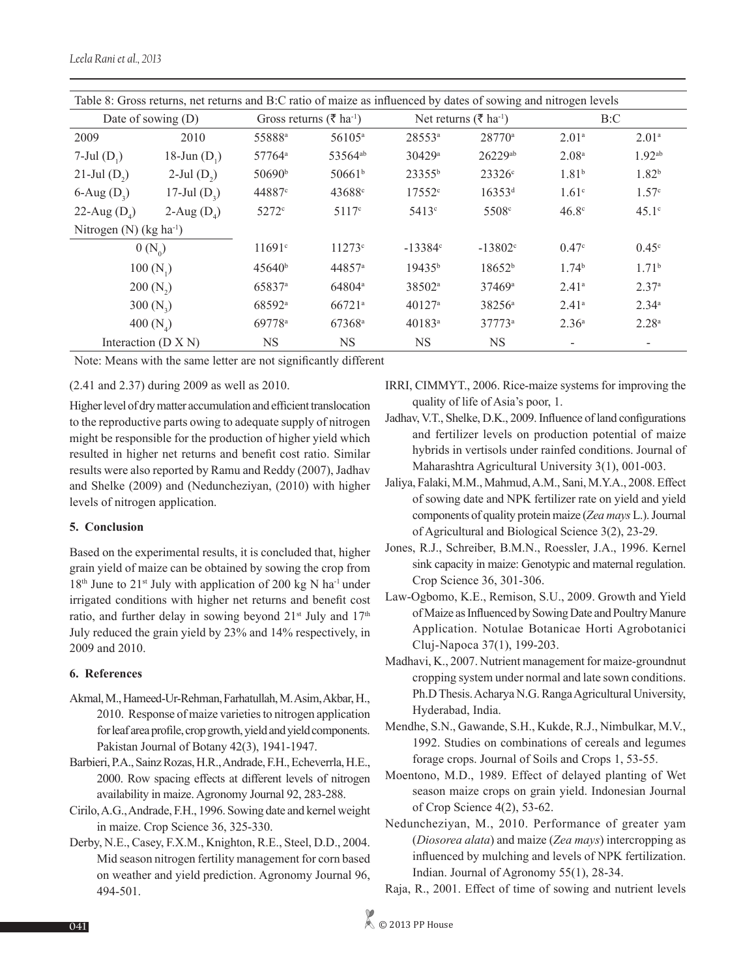| Table 8: Gross returns, net returns and B:C ratio of maize as influenced by dates of sowing and nitrogen levels |                  |                    |                                                 |                    |                                   |                   |                    |  |  |
|-----------------------------------------------------------------------------------------------------------------|------------------|--------------------|-------------------------------------------------|--------------------|-----------------------------------|-------------------|--------------------|--|--|
| Date of sowing $(D)$                                                                                            |                  |                    | Gross returns ( $\bar{\tau}$ ha <sup>-1</sup> ) |                    | Net returns (₹ ha <sup>-1</sup> ) | B:C               |                    |  |  |
| 2009                                                                                                            | 2010             | 55888ª             | 56105 <sup>a</sup>                              | 28553ª             | 28770 <sup>a</sup>                | 2.01 <sup>a</sup> | 2.01 <sup>a</sup>  |  |  |
| 7-Jul $(D_1)$                                                                                                   | 18-Jun $(D_1)$   | 57764 <sup>a</sup> | 53564 <sup>ab</sup>                             | 30429 <sup>a</sup> | 26229ab                           | 2.08 <sup>a</sup> | 1.92 <sup>ab</sup> |  |  |
| 21-Jul $(D_2)$                                                                                                  | $2$ -Jul $(D_2)$ | 50690 <sup>b</sup> | 50661 <sup>b</sup>                              | $23355^{b}$        | $23326$ c                         | 1.81 <sup>b</sup> | $1.82^{b}$         |  |  |
| 6-Aug $(D_3)$                                                                                                   | 17-Jul $(D_2)$   | 44887 <sup>c</sup> | 43688c                                          | 17552c             | $16353^{d}$                       | $1.61^{\circ}$    | 1.57 <sup>c</sup>  |  |  |
| 22-Aug $(D_4)$                                                                                                  | 2-Aug $(D_4)$    | $5272^{\circ}$     | 5117c                                           | $5413^\circ$       | 5508 <sup>c</sup>                 | $46.8^\circ$      | $45.1^\circ$       |  |  |
| Nitrogen (N) $(kg ha^{-1})$                                                                                     |                  |                    |                                                 |                    |                                   |                   |                    |  |  |
| $0 (N_0)$                                                                                                       |                  | 11691c             | $11273^{\circ}$                                 | $-13384$ °         | $-13802$ <sup>c</sup>             | 0.47 <sup>c</sup> | $0.45^{\circ}$     |  |  |
| $100(N_1)$                                                                                                      |                  | $45640^{\circ}$    | 44857 <sup>a</sup>                              | 19435 <sup>b</sup> | 18652 <sup>b</sup>                | 1.74 <sup>b</sup> | 1.71 <sup>b</sup>  |  |  |
| $200(N_2)$                                                                                                      |                  | 65837 <sup>a</sup> | 64804 <sup>a</sup>                              | 38502 <sup>a</sup> | 37469a                            | 2.41 <sup>a</sup> | 2.37 <sup>a</sup>  |  |  |
| 300 $(N_2)$                                                                                                     |                  | 68592ª             | $66721^{\rm a}$                                 | $40127^{\rm a}$    | 38256 <sup>a</sup>                | 2.41 <sup>a</sup> | $2.34^{\circ}$     |  |  |
| 400 $(N_4)$                                                                                                     |                  | 69778 <sup>a</sup> | 67368 <sup>a</sup>                              | $40183^a$          | 37773a                            | 2.36 <sup>a</sup> | 2.28 <sup>a</sup>  |  |  |
| Interaction $(D X N)$                                                                                           |                  | <b>NS</b>          | <b>NS</b>                                       | <b>NS</b>          | <b>NS</b>                         |                   |                    |  |  |

Note: Means with the same letter are not significantly different

## (2.41 and 2.37) during 2009 as well as 2010.

Higher level of dry matter accumulation and efficient translocation to the reproductive parts owing to adequate supply of nitrogen might be responsible for the production of higher yield which resulted in higher net returns and benefit cost ratio. Similar results were also reported by Ramu and Reddy (2007), Jadhav and Shelke (2009) and (Neduncheziyan, (2010) with higher levels of nitrogen application.

### **5. Conclusion**

Based on the experimental results, it is concluded that, higher grain yield of maize can be obtained by sowing the crop from 18<sup>th</sup> June to 21<sup>st</sup> July with application of 200 kg N ha<sup>-1</sup> under irrigated conditions with higher net returns and benefit cost ratio, and further delay in sowing beyond  $21^{st}$  July and  $17^{th}$ July reduced the grain yield by 23% and 14% respectively, in 2009 and 2010.

#### **6. References**

- Akmal, M., Hameed-Ur-Rehman, Farhatullah, M. Asim, Akbar, H., 2010. Response of maize varieties to nitrogen application for leaf area profile, crop growth, yield and yield components. Pakistan Journal of Botany 42(3), 1941-1947.
- Barbieri, P.A., Sainz Rozas, H.R., Andrade, F.H., Echeverrla, H.E., 2000. Row spacing effects at different levels of nitrogen availability in maize. Agronomy Journal 92, 283-288.
- Cirilo, A.G., Andrade, F.H., 1996. Sowing date and kernel weight in maize. Crop Science 36, 325-330.
- Derby, N.E., Casey, F.X.M., Knighton, R.E., Steel, D.D., 2004. Mid season nitrogen fertility management for corn based on weather and yield prediction. Agronomy Journal 96, 494-501.
- IRRI, CIMMYT., 2006. Rice-maize systems for improving the quality of life of Asia's poor, 1.
- Jadhav, V.T., Shelke, D.K., 2009. Influence of land configurations and fertilizer levels on production potential of maize hybrids in vertisols under rainfed conditions. Journal of Maharashtra Agricultural University 3(1), 001-003.
- Jaliya, Falaki, M.M., Mahmud, A.M., Sani, M.Y.A., 2008. Effect of sowing date and NPK fertilizer rate on yield and yield components of quality protein maize (*Zea mays* L.). Journal of Agricultural and Biological Science 3(2), 23-29.
- Jones, R.J., Schreiber, B.M.N., Roessler, J.A., 1996. Kernel sink capacity in maize: Genotypic and maternal regulation. Crop Science 36, 301-306.
- Law-Ogbomo, K.E., Remison, S.U., 2009. Growth and Yield of Maize as Influenced by Sowing Date and Poultry Manure Application. Notulae Botanicae Horti Agrobotanici Cluj-Napoca 37(1), 199-203.
- Madhavi, K., 2007. Nutrient management for maize-groundnut cropping system under normal and late sown conditions. Ph.D Thesis. Acharya N.G. Ranga Agricultural University, Hyderabad, India.
- Mendhe, S.N., Gawande, S.H., Kukde, R.J., Nimbulkar, M.V., 1992. Studies on combinations of cereals and legumes forage crops. Journal of Soils and Crops 1, 53-55.
- Moentono, M.D., 1989. Effect of delayed planting of Wet season maize crops on grain yield. Indonesian Journal of Crop Science 4(2), 53-62.
- Neduncheziyan, M., 2010. Performance of greater yam (*Diosorea alata*) and maize (*Zea mays*) intercropping as influenced by mulching and levels of NPK fertilization. Indian. Journal of Agronomy 55(1), 28-34.
- Raja, R., 2001. Effect of time of sowing and nutrient levels